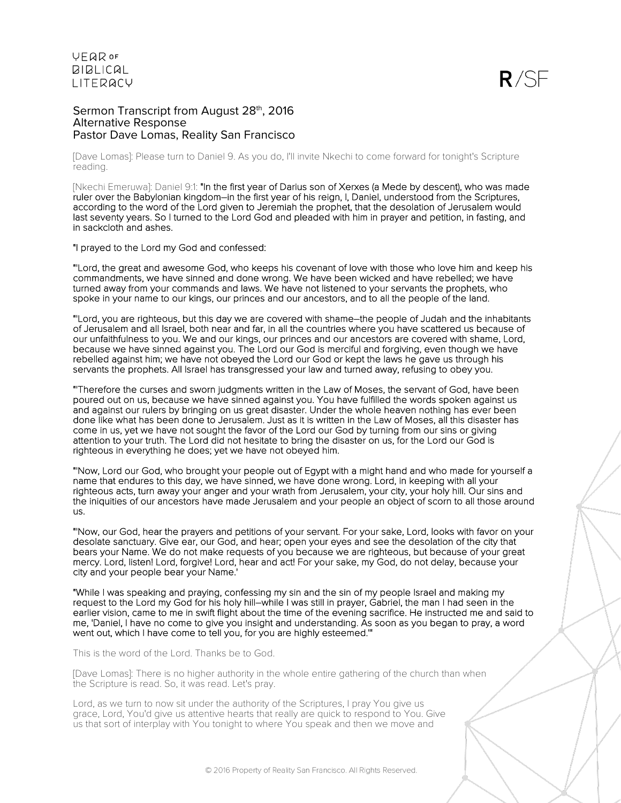$R/SF$ 

### Sermon Transcript from August 28th, 2016 Alternative Response Pastor Dave Lomas, Reality San Francisco

[Dave Lomas]: Please turn to Daniel 9. As you do, I'll invite Nkechi to come forward for tonight's Scripture reading.

[Nkechi Emeruwa]: Daniel 9:1: "In the first year of Darius son of Xerxes (a Mede by descent), who was made ruler over the Babylonian kingdom–in the first year of his reign, I, Daniel, understood from the Scriptures, according to the word of the Lord given to Jeremiah the prophet, that the desolation of Jerusalem would last seventy years. So I turned to the Lord God and pleaded with him in prayer and petition, in fasting, and in sackcloth and ashes.

"I prayed to the Lord my God and confessed:

"'Lord, the great and awesome God, who keeps his covenant of love with those who love him and keep his commandments, we have sinned and done wrong. We have been wicked and have rebelled; we have turned away from your commands and laws. We have not listened to your servants the prophets, who spoke in your name to our kings, our princes and our ancestors, and to all the people of the land.

"'Lord, you are righteous, but this day we are covered with shame–the people of Judah and the inhabitants of Jerusalem and all Israel, both near and far, in all the countries where you have scattered us because of our unfaithfulness to you. We and our kings, our princes and our ancestors are covered with shame, Lord, because we have sinned against you. The Lord our God is merciful and forgiving, even though we have rebelled against him; we have not obeyed the Lord our God or kept the laws he gave us through his servants the prophets. All Israel has transgressed your law and turned away, refusing to obey you.

"'Therefore the curses and sworn judgments written in the Law of Moses, the servant of God, have been poured out on us, because we have sinned against you. You have fulfilled the words spoken against us and against our rulers by bringing on us great disaster. Under the whole heaven nothing has ever been done like what has been done to Jerusalem. Just as it is written in the Law of Moses, all this disaster has come in us, yet we have not sought the favor of the Lord our God by turning from our sins or giving attention to your truth. The Lord did not hesitate to bring the disaster on us, for the Lord our God is righteous in everything he does; yet we have not obeyed him.

"'Now, Lord our God, who brought your people out of Egypt with a might hand and who made for yourself a name that endures to this day, we have sinned, we have done wrong. Lord, in keeping with all your righteous acts, turn away your anger and your wrath from Jerusalem, your city, your holy hill. Our sins and the iniquities of our ancestors have made Jerusalem and your people an object of scorn to all those around us.

"'Now, our God, hear the prayers and petitions of your servant. For your sake, Lord, looks with favor on your desolate sanctuary. Give ear, our God, and hear; open your eyes and see the desolation of the city that bears your Name. We do not make requests of you because we are righteous, but because of your great mercy. Lord, listen! Lord, forgive! Lord, hear and act! For your sake, my God, do not delay, because your city and your people bear your Name.'

"While I was speaking and praying, confessing my sin and the sin of my people Israel and making my request to the Lord my God for his holy hill–while I was still in prayer, Gabriel, the man I had seen in the earlier vision, came to me in swift flight about the time of the evening sacrifice. He instructed me and said to me, 'Daniel, I have no come to give you insight and understanding. As soon as you began to pray, a word went out, which I have come to tell you, for you are highly esteemed.'"

This is the word of the Lord. Thanks be to God.

[Dave Lomas]: There is no higher authority in the whole entire gathering of the church than when the Scripture is read. So, it was read. Let's pray.

Lord, as we turn to now sit under the authority of the Scriptures, I pray You give us grace, Lord, You'd give us attentive hearts that really are quick to respond to You. Give us that sort of interplay with You tonight to where You speak and then we move and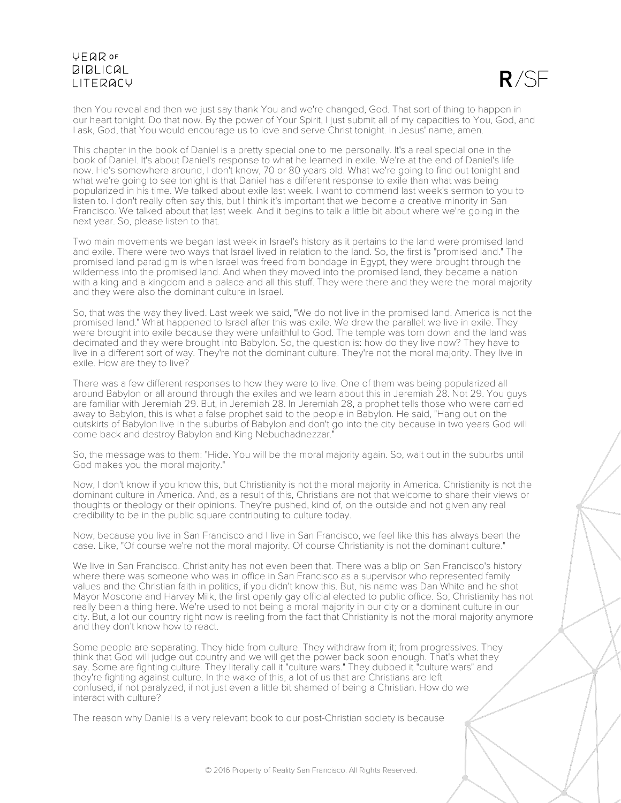$R/SF$ 

then You reveal and then we just say thank You and we're changed, God. That sort of thing to happen in our heart tonight. Do that now. By the power of Your Spirit, I just submit all of my capacities to You, God, and I ask, God, that You would encourage us to love and serve Christ tonight. In Jesus' name, amen.

This chapter in the book of Daniel is a pretty special one to me personally. It's a real special one in the book of Daniel. It's about Daniel's response to what he learned in exile. We're at the end of Daniel's life now. He's somewhere around, I don't know, 70 or 80 years old. What we're going to find out tonight and what we're going to see tonight is that Daniel has a different response to exile than what was being popularized in his time. We talked about exile last week. I want to commend last week's sermon to you to listen to. I don't really often say this, but I think it's important that we become a creative minority in San Francisco. We talked about that last week. And it begins to talk a little bit about where we're going in the next year. So, please listen to that.

Two main movements we began last week in Israel's history as it pertains to the land were promised land and exile. There were two ways that Israel lived in relation to the land. So, the first is "promised land." The promised land paradigm is when Israel was freed from bondage in Egypt, they were brought through the wilderness into the promised land. And when they moved into the promised land, they became a nation with a king and a kingdom and a palace and all this stuff. They were there and they were the moral majority and they were also the dominant culture in Israel.

So, that was the way they lived. Last week we said, "We do not live in the promised land. America is not the promised land." What happened to Israel after this was exile. We drew the parallel: we live in exile. They were brought into exile because they were unfaithful to God. The temple was torn down and the land was decimated and they were brought into Babylon. So, the question is: how do they live now? They have to live in a different sort of way. They're not the dominant culture. They're not the moral majority. They live in exile. How are they to live?

There was a few different responses to how they were to live. One of them was being popularized all around Babylon or all around through the exiles and we learn about this in Jeremiah 28. Not 29. You guys are familiar with Jeremiah 29. But, in Jeremiah 28. In Jeremiah 28, a prophet tells those who were carried away to Babylon, this is what a false prophet said to the people in Babylon. He said, "Hang out on the outskirts of Babylon live in the suburbs of Babylon and don't go into the city because in two years God will come back and destroy Babylon and King Nebuchadnezzar.

So, the message was to them: "Hide. You will be the moral majority again. So, wait out in the suburbs until God makes you the moral majority."

Now, I don't know if you know this, but Christianity is not the moral majority in America. Christianity is not the dominant culture in America. And, as a result of this, Christians are not that welcome to share their views or thoughts or theology or their opinions. They're pushed, kind of, on the outside and not given any real credibility to be in the public square contributing to culture today.

Now, because you live in San Francisco and I live in San Francisco, we feel like this has always been the case. Like, "Of course we're not the moral majority. Of course Christianity is not the dominant culture."

We live in San Francisco. Christianity has not even been that. There was a blip on San Francisco's history where there was someone who was in office in San Francisco as a supervisor who represented family values and the Christian faith in politics, if you didn't know this. But, his name was Dan White and he shot Mayor Moscone and Harvey Milk, the first openly gay official elected to public office. So, Christianity has not really been a thing here. We're used to not being a moral majority in our city or a dominant culture in our city. But, a lot our country right now is reeling from the fact that Christianity is not the moral majority anymore and they don't know how to react.

Some people are separating. They hide from culture. They withdraw from it; from progressives. They think that God will judge out country and we will get the power back soon enough. That's what they say. Some are fighting culture. They literally call it "culture wars." They dubbed it "culture wars" and they're fighting against culture. In the wake of this, a lot of us that are Christians are left confused, if not paralyzed, if not just even a little bit shamed of being a Christian. How do we interact with culture?

The reason why Daniel is a very relevant book to our post-Christian society is because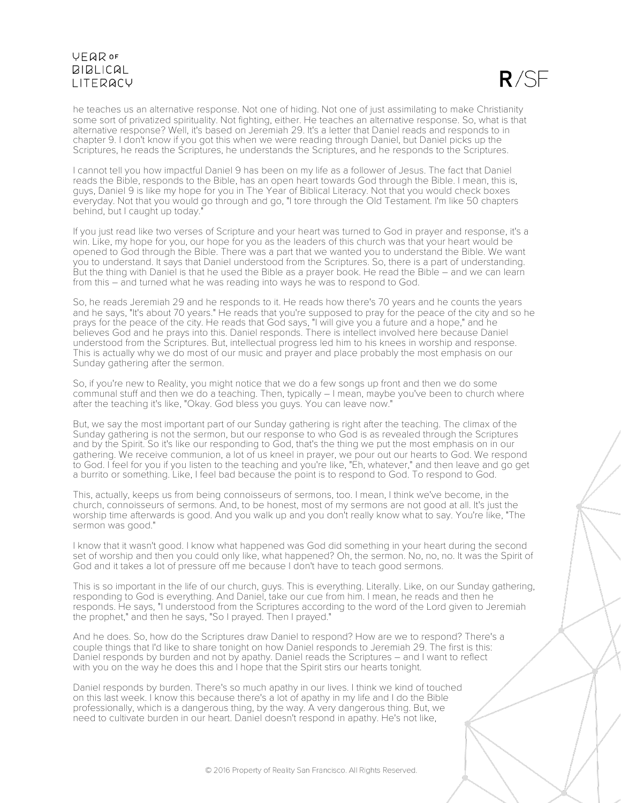$R/SE$ 

he teaches us an alternative response. Not one of hiding. Not one of just assimilating to make Christianity some sort of privatized spirituality. Not fighting, either. He teaches an alternative response. So, what is that alternative response? Well, it's based on Jeremiah 29. It's a letter that Daniel reads and responds to in chapter 9. I don't know if you got this when we were reading through Daniel, but Daniel picks up the Scriptures, he reads the Scriptures, he understands the Scriptures, and he responds to the Scriptures.

I cannot tell you how impactful Daniel 9 has been on my life as a follower of Jesus. The fact that Daniel reads the Bible, responds to the Bible, has an open heart towards God through the Bible. I mean, this is, guys, Daniel 9 is like my hope for you in The Year of Biblical Literacy. Not that you would check boxes everyday. Not that you would go through and go, "I tore through the Old Testament. I'm like 50 chapters behind, but I caught up today."

If you just read like two verses of Scripture and your heart was turned to God in prayer and response, it's a win. Like, my hope for you, our hope for you as the leaders of this church was that your heart would be opened to God through the Bible. There was a part that we wanted you to understand the Bible. We want you to understand. It says that Daniel understood from the Scriptures. So, there is a part of understanding. But the thing with Daniel is that he used the Bible as a prayer book. He read the Bible – and we can learn from this – and turned what he was reading into ways he was to respond to God.

So, he reads Jeremiah 29 and he responds to it. He reads how there's 70 years and he counts the years and he says, "It's about 70 years." He reads that you're supposed to pray for the peace of the city and so he prays for the peace of the city. He reads that God says, "I will give you a future and a hope," and he believes God and he prays into this. Daniel responds. There is intellect involved here because Daniel understood from the Scriptures. But, intellectual progress led him to his knees in worship and response. This is actually why we do most of our music and prayer and place probably the most emphasis on our Sunday gathering after the sermon.

So, if you're new to Reality, you might notice that we do a few songs up front and then we do some communal stuff and then we do a teaching. Then, typically – I mean, maybe you've been to church where after the teaching it's like, "Okay. God bless you guys. You can leave now."

But, we say the most important part of our Sunday gathering is right after the teaching. The climax of the Sunday gathering is not the sermon, but our response to who God is as revealed through the Scriptures and by the Spirit. So it's like our responding to God, that's the thing we put the most emphasis on in our gathering. We receive communion, a lot of us kneel in prayer, we pour out our hearts to God. We respond to God. I feel for you if you listen to the teaching and you're like, "Eh, whatever," and then leave and go get a burrito or something. Like, I feel bad because the point is to respond to God. To respond to God.

This, actually, keeps us from being connoisseurs of sermons, too. I mean, I think we've become, in the church, connoisseurs of sermons. And, to be honest, most of my sermons are not good at all. It's just the worship time afterwards is good. And you walk up and you don't really know what to say. You're like, "The sermon was good."

I know that it wasn't good. I know what happened was God did something in your heart during the second set of worship and then you could only like, what happened? Oh, the sermon. No, no, no. It was the Spirit of God and it takes a lot of pressure off me because I don't have to teach good sermons.

This is so important in the life of our church, guys. This is everything. Literally. Like, on our Sunday gathering, responding to God is everything. And Daniel, take our cue from him. I mean, he reads and then he responds. He says, "I understood from the Scriptures according to the word of the Lord given to Jeremiah the prophet," and then he says, "So I prayed. Then I prayed."

And he does. So, how do the Scriptures draw Daniel to respond? How are we to respond? There's a couple things that I'd like to share tonight on how Daniel responds to Jeremiah 29. The first is this: Daniel responds by burden and not by apathy. Daniel reads the Scriptures – and I want to reflect with you on the way he does this and I hope that the Spirit stirs our hearts tonight.

Daniel responds by burden. There's so much apathy in our lives. I think we kind of touched on this last week. I know this because there's a lot of apathy in my life and I do the Bible professionally, which is a dangerous thing, by the way. A very dangerous thing. But, we need to cultivate burden in our heart. Daniel doesn't respond in apathy. He's not like,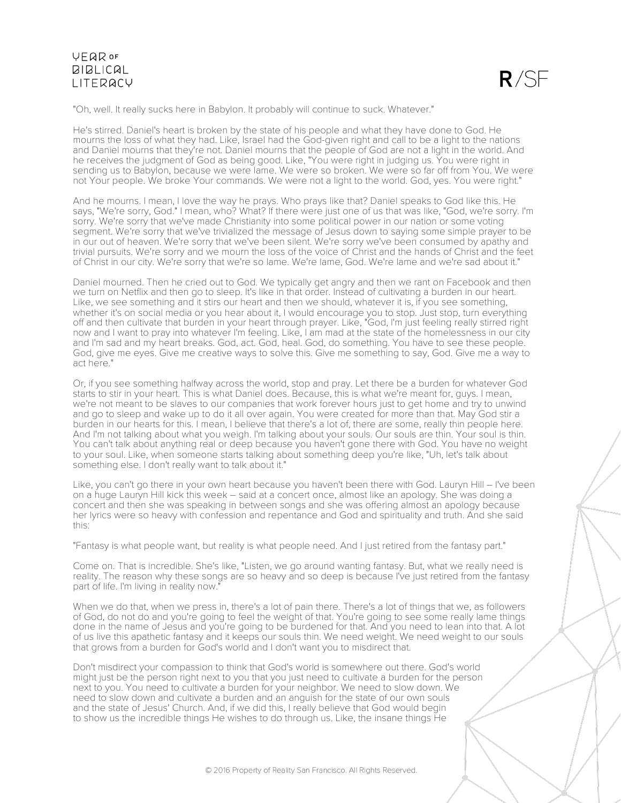"Oh, well. It really sucks here in Babylon. It probably will continue to suck. Whatever."

He's stirred. Daniel's heart is broken by the state of his people and what they have done to God. He mourns the loss of what they had. Like, Israel had the God-given right and call to be a light to the nations and Daniel mourns that they're not. Daniel mourns that the people of God are not a light in the world. And he receives the judgment of God as being good. Like, "You were right in judging us. You were right in sending us to Babylon, because we were lame. We were so broken. We were so far off from You. We were not Your people. We broke Your commands. We were not a light to the world. God, yes. You were right."

And he mourns. I mean, I love the way he prays. Who prays like that? Daniel speaks to God like this. He says, "We're sorry, God." I mean, who? What? If there were just one of us that was like, "God, we're sorry. I'm sorry. We're sorry that we've made Christianity into some political power in our nation or some voting segment. We're sorry that we've trivialized the message of Jesus down to saying some simple prayer to be in our out of heaven. We're sorry that we've been silent. We're sorry we've been consumed by apathy and trivial pursuits. We're sorry and we mourn the loss of the voice of Christ and the hands of Christ and the feet of Christ in our city. We're sorry that we're so lame. We're lame, God. We're lame and we're sad about it."

Daniel mourned. Then he cried out to God. We typically get angry and then we rant on Facebook and then we turn on Netflix and then go to sleep. It's like in that order. Instead of cultivating a burden in our heart. Like, we see something and it stirs our heart and then we should, whatever it is, if you see something, whether it's on social media or you hear about it, I would encourage you to stop. Just stop, turn everything off and then cultivate that burden in your heart through prayer. Like, "God, I'm just feeling really stirred right now and I want to pray into whatever I'm feeling. Like, I am mad at the state of the homelessness in our city and I'm sad and my heart breaks. God, act. God, heal. God, do something. You have to see these people. God, give me eyes. Give me creative ways to solve this. Give me something to say, God. Give me a way to act here."

Or, if you see something halfway across the world, stop and pray. Let there be a burden for whatever God starts to stir in your heart. This is what Daniel does. Because, this is what we're meant for, guys. I mean, we're not meant to be slaves to our companies that work forever hours just to get home and try to unwind and go to sleep and wake up to do it all over again. You were created for more than that. May God stir a burden in our hearts for this. I mean, I believe that there's a lot of, there are some, really thin people here. And I'm not talking about what you weigh. I'm talking about your souls. Our souls are thin. Your soul is thin. You can't talk about anything real or deep because you haven't gone there with God. You have no weight to your soul. Like, when someone starts talking about something deep you're like, "Uh, let's talk about something else. I don't really want to talk about it."

Like, you can't go there in your own heart because you haven't been there with God. Lauryn Hill – I've been on a huge Lauryn Hill kick this week – said at a concert once, almost like an apology. She was doing a concert and then she was speaking in between songs and she was offering almost an apology because her lyrics were so heavy with confession and repentance and God and spirituality and truth. And she said this:

"Fantasy is what people want, but reality is what people need. And I just retired from the fantasy part."

Come on. That is incredible. She's like, "Listen, we go around wanting fantasy. But, what we really need is reality. The reason why these songs are so heavy and so deep is because I've just retired from the fantasy part of life. I'm living in reality now.

When we do that, when we press in, there's a lot of pain there. There's a lot of things that we, as followers of God, do not do and you're going to feel the weight of that. You're going to see some really lame things done in the name of Jesus and you're going to be burdened for that. And you need to lean into that. A lot of us live this apathetic fantasy and it keeps our souls thin. We need weight. We need weight to our souls that grows from a burden for God's world and I don't want you to misdirect that.

Don't misdirect your compassion to think that God's world is somewhere out there. God's world might just be the person right next to you that you just need to cultivate a burden for the person next to you. You need to cultivate a burden for your neighbor. We need to slow down. We need to slow down and cultivate a burden and an anguish for the state of our own souls and the state of Jesus' Church. And, if we did this, I really believe that God would begin to show us the incredible things He wishes to do through us. Like, the insane things He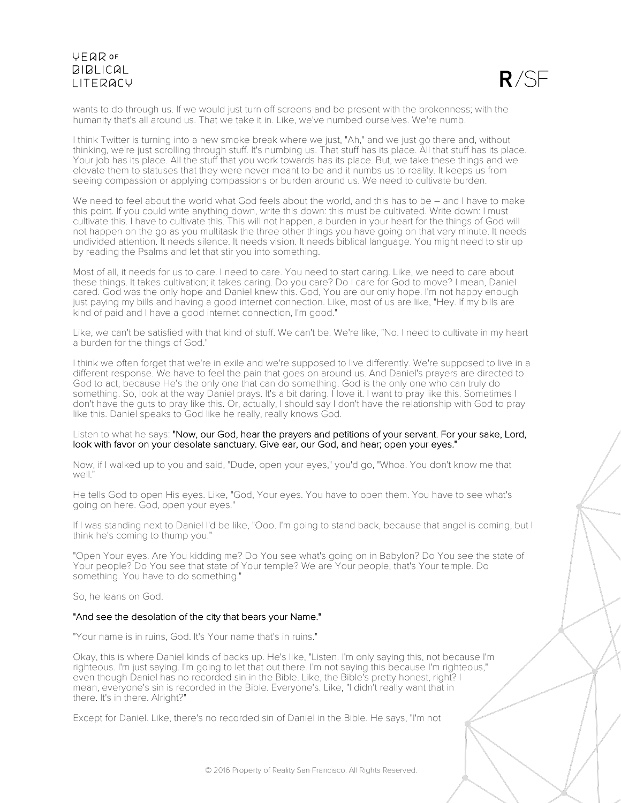

wants to do through us. If we would just turn off screens and be present with the brokenness; with the humanity that's all around us. That we take it in. Like, we've numbed ourselves. We're numb.

I think Twitter is turning into a new smoke break where we just, "Ah," and we just go there and, without thinking, we're just scrolling through stuff. It's numbing us. That stuff has its place. All that stuff has its place. Your job has its place. All the stuff that you work towards has its place. But, we take these things and we elevate them to statuses that they were never meant to be and it numbs us to reality. It keeps us from seeing compassion or applying compassions or burden around us. We need to cultivate burden.

We need to feel about the world what God feels about the world, and this has to be – and I have to make this point. If you could write anything down, write this down: this must be cultivated. Write down: I must cultivate this. I have to cultivate this. This will not happen, a burden in your heart for the things of God will not happen on the go as you multitask the three other things you have going on that very minute. It needs undivided attention. It needs silence. It needs vision. It needs biblical language. You might need to stir up by reading the Psalms and let that stir you into something.

Most of all, it needs for us to care. I need to care. You need to start caring. Like, we need to care about these things. It takes cultivation; it takes caring. Do you care? Do I care for God to move? I mean, Daniel cared. God was the only hope and Daniel knew this. God, You are our only hope. I'm not happy enough just paying my bills and having a good internet connection. Like, most of us are like, "Hey. If my bills are kind of paid and I have a good internet connection, I'm good."

Like, we can't be satisfied with that kind of stuff. We can't be. We're like, "No. I need to cultivate in my heart a burden for the things of God."

I think we often forget that we're in exile and we're supposed to live differently. We're supposed to live in a different response. We have to feel the pain that goes on around us. And Daniel's prayers are directed to God to act, because He's the only one that can do something. God is the only one who can truly do something. So, look at the way Daniel prays. It's a bit daring. I love it. I want to pray like this. Sometimes I don't have the guts to pray like this. Or, actually, I should say I don't have the relationship with God to pray like this. Daniel speaks to God like he really, really knows God.

### Listen to what he says: "Now, our God, hear the prayers and petitions of your servant. For your sake, Lord, look with favor on your desolate sanctuary. Give ear, our God, and hear; open your eyes."

Now, if I walked up to you and said, "Dude, open your eyes," you'd go, "Whoa. You don't know me that well."

He tells God to open His eyes. Like, "God, Your eyes. You have to open them. You have to see what's going on here. God, open your eyes."

If I was standing next to Daniel I'd be like, "Ooo. I'm going to stand back, because that angel is coming, but I think he's coming to thump you."

"Open Your eyes. Are You kidding me? Do You see what's going on in Babylon? Do You see the state of Your people? Do You see that state of Your temple? We are Your people, that's Your temple. Do something. You have to do something."

So, he leans on God.

### "And see the desolation of the city that bears your Name."

"Your name is in ruins, God. It's Your name that's in ruins."

Okay, this is where Daniel kinds of backs up. He's like, "Listen. I'm only saying this, not because I'm righteous. I'm just saying. I'm going to let that out there. I'm not saying this because I'm righteous," even though Daniel has no recorded sin in the Bible. Like, the Bible's pretty honest, right? I mean, everyone's sin is recorded in the Bible. Everyone's. Like, "I didn't really want that in there. It's in there. Alright?"

Except for Daniel. Like, there's no recorded sin of Daniel in the Bible. He says, "I'm not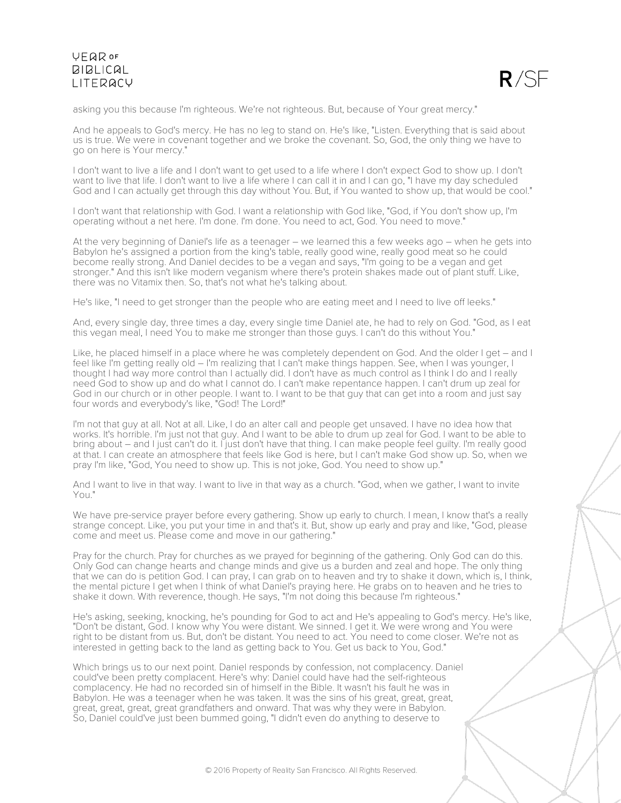

asking you this because I'm righteous. We're not righteous. But, because of Your great mercy."

And he appeals to God's mercy. He has no leg to stand on. He's like, "Listen. Everything that is said about us is true. We were in covenant together and we broke the covenant. So, God, the only thing we have to go on here is Your mercy."

I don't want to live a life and I don't want to get used to a life where I don't expect God to show up. I don't want to live that life. I don't want to live a life where I can call it in and I can go, "I have my day scheduled God and I can actually get through this day without You. But, if You wanted to show up, that would be cool."

I don't want that relationship with God. I want a relationship with God like, "God, if You don't show up, I'm operating without a net here. I'm done. I'm done. You need to act, God. You need to move."

At the very beginning of Daniel's life as a teenager – we learned this a few weeks ago – when he gets into Babylon he's assigned a portion from the king's table, really good wine, really good meat so he could become really strong. And Daniel decides to be a vegan and says, "I'm going to be a vegan and get stronger." And this isn't like modern veganism where there's protein shakes made out of plant stuff. Like, there was no Vitamix then. So, that's not what he's talking about.

He's like, "I need to get stronger than the people who are eating meet and I need to live off leeks."

And, every single day, three times a day, every single time Daniel ate, he had to rely on God. "God, as I eat this vegan meal, I need You to make me stronger than those guys. I can't do this without You."

Like, he placed himself in a place where he was completely dependent on God. And the older I get – and I feel like I'm getting really old – I'm realizing that I can't make things happen. See, when I was younger, I thought I had way more control than I actually did. I don't have as much control as I think I do and I really need God to show up and do what I cannot do. I can't make repentance happen. I can't drum up zeal for God in our church or in other people. I want to. I want to be that guy that can get into a room and just say four words and everybody's like, "God! The Lord!"

I'm not that guy at all. Not at all. Like, I do an alter call and people get unsaved. I have no idea how that works. It's horrible. I'm just not that guy. And I want to be able to drum up zeal for God. I want to be able to bring about – and I just can't do it. I just don't have that thing. I can make people feel guilty. I'm really good at that. I can create an atmosphere that feels like God is here, but I can't make God show up. So, when we pray I'm like, "God, You need to show up. This is not joke, God. You need to show up."

And I want to live in that way. I want to live in that way as a church. "God, when we gather, I want to invite You."

We have pre-service prayer before every gathering. Show up early to church. I mean, I know that's a really strange concept. Like, you put your time in and that's it. But, show up early and pray and like, "God, please come and meet us. Please come and move in our gathering."

Pray for the church. Pray for churches as we prayed for beginning of the gathering. Only God can do this. Only God can change hearts and change minds and give us a burden and zeal and hope. The only thing that we can do is petition God. I can pray, I can grab on to heaven and try to shake it down, which is, I think, the mental picture I get when I think of what Daniel's praying here. He grabs on to heaven and he tries to shake it down. With reverence, though. He says, "I'm not doing this because I'm righteous."

He's asking, seeking, knocking, he's pounding for God to act and He's appealing to God's mercy. He's like, "Don't be distant, God. I know why You were distant. We sinned. I get it. We were wrong and You were right to be distant from us. But, don't be distant. You need to act. You need to come closer. We're not as interested in getting back to the land as getting back to You. Get us back to You, God."

Which brings us to our next point. Daniel responds by confession, not complacency. Daniel could've been pretty complacent. Here's why: Daniel could have had the self-righteous complacency. He had no recorded sin of himself in the Bible. It wasn't his fault he was in Babylon. He was a teenager when he was taken. It was the sins of his great, great, great, great, great, great, great grandfathers and onward. That was why they were in Babylon. So, Daniel could've just been bummed going, "I didn't even do anything to deserve to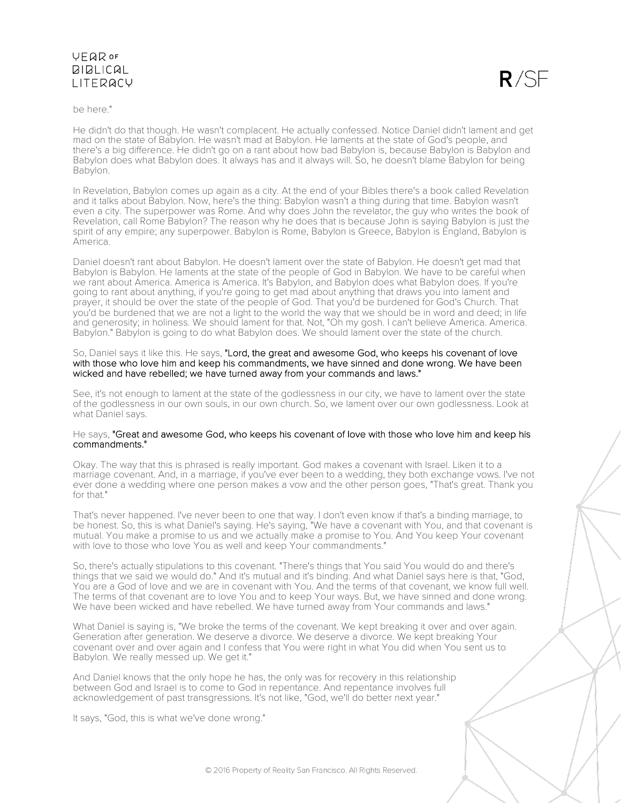

### be here."

He didn't do that though. He wasn't complacent. He actually confessed. Notice Daniel didn't lament and get mad on the state of Babylon. He wasn't mad at Babylon. He laments at the state of God's people, and there's a big difference. He didn't go on a rant about how bad Babylon is, because Babylon is Babylon and Babylon does what Babylon does. It always has and it always will. So, he doesn't blame Babylon for being Babylon.

In Revelation, Babylon comes up again as a city. At the end of your Bibles there's a book called Revelation and it talks about Babylon. Now, here's the thing: Babylon wasn't a thing during that time. Babylon wasn't even a city. The superpower was Rome. And why does John the revelator, the guy who writes the book of Revelation, call Rome Babylon? The reason why he does that is because John is saying Babylon is just the spirit of any empire; any superpower. Babylon is Rome, Babylon is Greece, Babylon is England, Babylon is America.

Daniel doesn't rant about Babylon. He doesn't lament over the state of Babylon. He doesn't get mad that Babylon is Babylon. He laments at the state of the people of God in Babylon. We have to be careful when we rant about America. America is America. It's Babylon, and Babylon does what Babylon does. If you're going to rant about anything, if you're going to get mad about anything that draws you into lament and prayer, it should be over the state of the people of God. That you'd be burdened for God's Church. That you'd be burdened that we are not a light to the world the way that we should be in word and deed; in life and generosity; in holiness. We should lament for that. Not, "Oh my gosh. I can't believe America. America. Babylon." Babylon is going to do what Babylon does. We should lament over the state of the church.

#### So, Daniel says it like this. He says, "Lord, the great and awesome God, who keeps his covenant of love with those who love him and keep his commandments, we have sinned and done wrong. We have been wicked and have rebelled; we have turned away from your commands and laws."

See, it's not enough to lament at the state of the godlessness in our city, we have to lament over the state of the godlessness in our own souls, in our own church. So, we lament over our own godlessness. Look at what Daniel says.

### He says, "Great and awesome God, who keeps his covenant of love with those who love him and keep his commandments."

Okay. The way that this is phrased is really important. God makes a covenant with Israel. Liken it to a marriage covenant. And, in a marriage, if you've ever been to a wedding, they both exchange vows. I've not ever done a wedding where one person makes a vow and the other person goes, "That's great. Thank you for that."

That's never happened. I've never been to one that way. I don't even know if that's a binding marriage, to be honest. So, this is what Daniel's saying. He's saying, "We have a covenant with You, and that covenant is mutual. You make a promise to us and we actually make a promise to You. And You keep Your covenant with love to those who love You as well and keep Your commandments."

So, there's actually stipulations to this covenant. "There's things that You said You would do and there's things that we said we would do." And it's mutual and it's binding. And what Daniel says here is that, "God, You are a God of love and we are in covenant with You. And the terms of that covenant, we know full well. The terms of that covenant are to love You and to keep Your ways. But, we have sinned and done wrong. We have been wicked and have rebelled. We have turned away from Your commands and laws."

What Daniel is saying is, "We broke the terms of the covenant. We kept breaking it over and over again. Generation after generation. We deserve a divorce. We deserve a divorce. We kept breaking Your covenant over and over again and I confess that You were right in what You did when You sent us to Babylon. We really messed up. We get it."

And Daniel knows that the only hope he has, the only was for recovery in this relationship between God and Israel is to come to God in repentance. And repentance involves full acknowledgement of past transgressions. It's not like, "God, we'll do better next year."

It says, "God, this is what we've done wrong."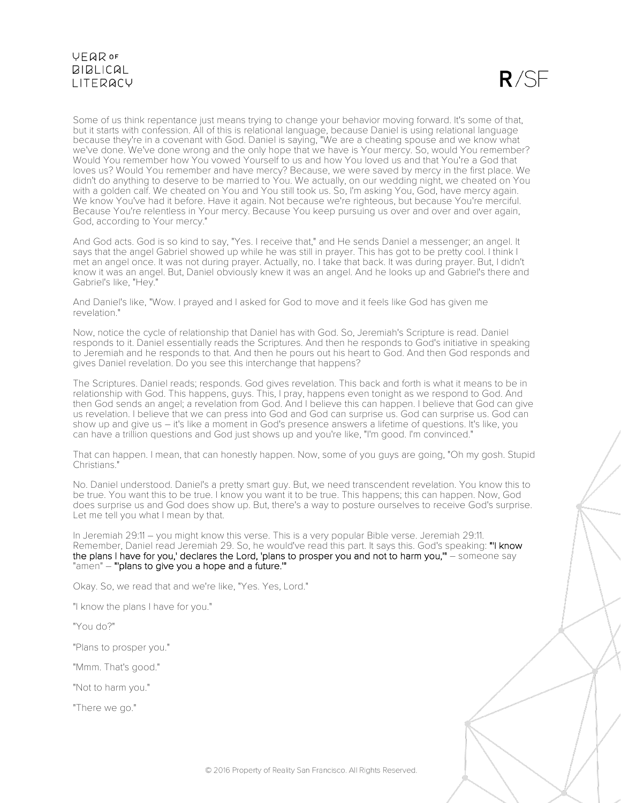$R/SF$ 

Some of us think repentance just means trying to change your behavior moving forward. It's some of that, but it starts with confession. All of this is relational language, because Daniel is using relational language because they're in a covenant with God. Daniel is saying, "We are a cheating spouse and we know what we've done. We've done wrong and the only hope that we have is Your mercy. So, would You remember? Would You remember how You vowed Yourself to us and how You loved us and that You're a God that loves us? Would You remember and have mercy? Because, we were saved by mercy in the first place. We didn't do anything to deserve to be married to You. We actually, on our wedding night, we cheated on You with a golden calf. We cheated on You and You still took us. So, I'm asking You, God, have mercy again. We know You've had it before. Have it again. Not because we're righteous, but because You're merciful. Because You're relentless in Your mercy. Because You keep pursuing us over and over and over again, God, according to Your mercy."

And God acts. God is so kind to say, "Yes. I receive that," and He sends Daniel a messenger; an angel. It says that the angel Gabriel showed up while he was still in prayer. This has got to be pretty cool. I think I met an angel once. It was not during prayer. Actually, no. I take that back. It was during prayer. But, I didn't know it was an angel. But, Daniel obviously knew it was an angel. And he looks up and Gabriel's there and Gabriel's like, "Hey."

And Daniel's like, "Wow. I prayed and I asked for God to move and it feels like God has given me revelation."

Now, notice the cycle of relationship that Daniel has with God. So, Jeremiah's Scripture is read. Daniel responds to it. Daniel essentially reads the Scriptures. And then he responds to God's initiative in speaking to Jeremiah and he responds to that. And then he pours out his heart to God. And then God responds and gives Daniel revelation. Do you see this interchange that happens?

The Scriptures. Daniel reads; responds. God gives revelation. This back and forth is what it means to be in relationship with God. This happens, guys. This, I pray, happens even tonight as we respond to God. And then God sends an angel; a revelation from God. And I believe this can happen. I believe that God can give us revelation. I believe that we can press into God and God can surprise us. God can surprise us. God can show up and give us – it's like a moment in God's presence answers a lifetime of questions. It's like, you can have a trillion questions and God just shows up and you're like, "I'm good. I'm convinced."

That can happen. I mean, that can honestly happen. Now, some of you guys are going, "Oh my gosh. Stupid Christians."

No. Daniel understood. Daniel's a pretty smart guy. But, we need transcendent revelation. You know this to be true. You want this to be true. I know you want it to be true. This happens; this can happen. Now, God does surprise us and God does show up. But, there's a way to posture ourselves to receive God's surprise. Let me tell you what I mean by that.

In Jeremiah 29:11 – you might know this verse. This is a very popular Bible verse. Jeremiah 29:11. Remember, Daniel read Jeremiah 29. So, he would've read this part. It says this. God's speaking: "I know the plans I have for you,' declares the Lord, 'plans to prosper you and not to harm you,'" – someone say "amen" – "plans to give you a hope and a future."

Okay. So, we read that and we're like, "Yes. Yes, Lord."

"I know the plans I have for you."

"You do?"

"Plans to prosper you."

"Mmm. That's good."

"Not to harm you."

"There we go."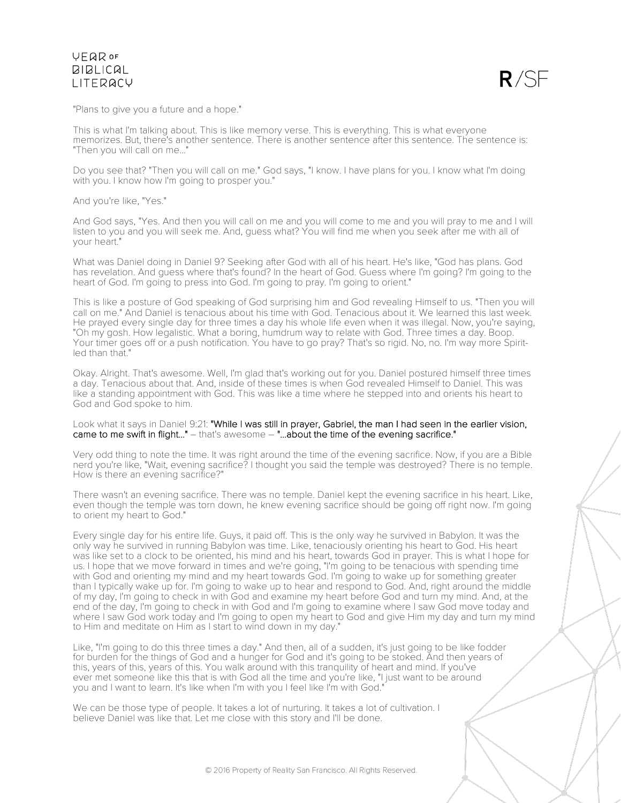

"Plans to give you a future and a hope."

This is what I'm talking about. This is like memory verse. This is everything. This is what everyone memorizes. But, there's another sentence. There is another sentence after this sentence. The sentence is: "Then you will call on me..."

Do you see that? "Then you will call on me." God says, "I know. I have plans for you. I know what I'm doing with you. I know how I'm going to prosper you."

And you're like, "Yes."

And God says, "Yes. And then you will call on me and you will come to me and you will pray to me and I will listen to you and you will seek me. And, guess what? You will find me when you seek after me with all of your heart."

What was Daniel doing in Daniel 9? Seeking after God with all of his heart. He's like, "God has plans. God has revelation. And guess where that's found? In the heart of God. Guess where I'm going? I'm going to the heart of God. I'm going to press into God. I'm going to pray. I'm going to orient."

This is like a posture of God speaking of God surprising him and God revealing Himself to us. "Then you will call on me." And Daniel is tenacious about his time with God. Tenacious about it. We learned this last week. He prayed every single day for three times a day his whole life even when it was illegal. Now, you're saying, "Oh my gosh. How legalistic. What a boring, humdrum way to relate with God. Three times a day. Boop. Your timer goes off or <sup>a</sup> push notification. You have to go pray? That's so rigid. No, no. I'm way more Spirit- led than that."

Okay. Alright. That's awesome. Well, I'm glad that's working out for you. Daniel postured himself three times a day. Tenacious about that. And, inside of these times is when God revealed Himself to Daniel. This was like a standing appointment with God. This was like a time where he stepped into and orients his heart to God and God spoke to him.

### Look what it says in Daniel 9:21: "While I was still in prayer, Gabriel, the man I had seen in the earlier vision, came to me swift in flight..." - that's awesome - "...about the time of the evening sacrifice."

Very odd thing to note the time. It was right around the time of the evening sacrifice. Now, if you are a Bible nerd you're like, "Wait, evening sacrifice? I thought you said the temple was destroyed? There is no temple. How is there an evening sacrifice?"

There wasn't an evening sacrifice. There was no temple. Daniel kept the evening sacrifice in his heart. Like, even though the temple was torn down, he knew evening sacrifice should be going off right now. I'm going to orient my heart to God."

Every single day for his entire life. Guys, it paid off. This is the only way he survived in Babylon. It was the only way he survived in running Babylon was time. Like, tenaciously orienting his heart to God. His heart was like set to a clock to be oriented, his mind and his heart, towards God in prayer. This is what I hope for us. I hope that we move forward in times and we're going, "I'm going to be tenacious with spending time with God and orienting my mind and my heart towards God. I'm going to wake up for something greater than I typically wake up for. I'm going to wake up to hear and respond to God. And, right around the middle of my day, I'm going to check in with God and examine my heart before God and turn my mind. And, at the end of the day, I'm going to check in with God and I'm going to examine where I saw God move today and where I saw God work today and I'm going to open my heart to God and give Him my day and turn my mind to Him and meditate on Him as I start to wind down in my day."

Like, "I'm going to do this three times a day." And then, all of a sudden, it's just going to be like fodder for burden for the things of God and a hunger for God and it's going to be stoked. And then years of this, years of this, years of this. You walk around with this tranquility of heart and mind. If you've ever met someone like this that is with God all the time and you're like, "I just want to be around you and I want to learn. It's like when I'm with you I feel like I'm with God."

We can be those type of people. It takes a lot of nurturing. It takes a lot of cultivation. I believe Daniel was like that. Let me close with this story and I'll be done.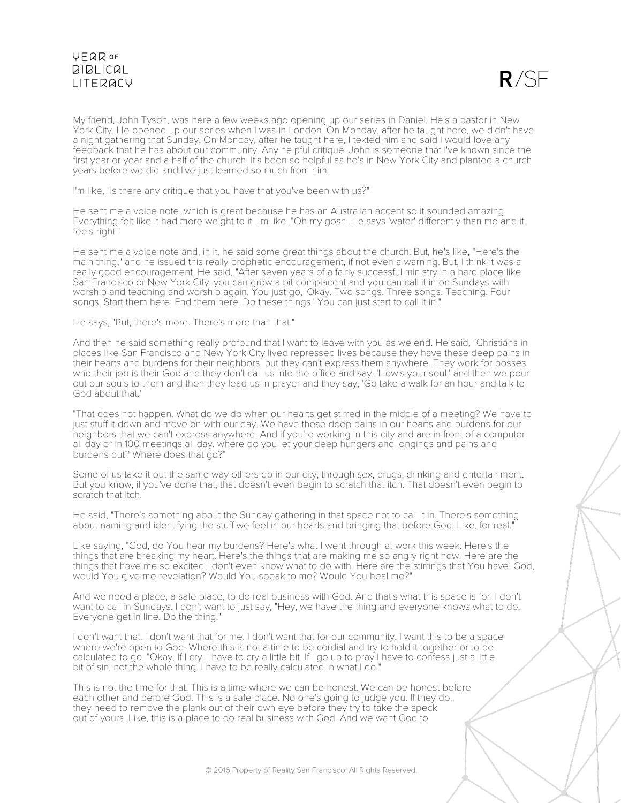

My friend, John Tyson, was here a few weeks ago opening up our series in Daniel. He's a pastor in New York City. He opened up our series when I was in London. On Monday, after he taught here, we didn't have a night gathering that Sunday. On Monday, after he taught here, I texted him and said I would love any feedback that he has about our community. Any helpful critique. John is someone that I've known since the first year or year and a half of the church. It's been so helpful as he's in New York City and planted a church years before we did and I've just learned so much from him.

I'm like, "Is there any critique that you have that you've been with us?"

He sent me a voice note, which is great because he has an Australian accent so it sounded amazing. Everything felt like it had more weight to it. I'm like, "Oh my gosh. He says 'water' differently than me and it feels right."

He sent me a voice note and, in it, he said some great things about the church. But, he's like, "Here's the main thing," and he issued this really prophetic encouragement, if not even a warning. But, I think it was a really good encouragement. He said, "After seven years of a fairly successful ministry in a hard place like San Francisco or New York City, you can grow a bit complacent and you can call it in on Sundays with worship and teaching and worship again. You just go, 'Okay. Two songs. Three songs. Teaching. Four songs. Start them here. End them here. Do these things.' You can just start to call it in."

He says, "But, there's more. There's more than that."

And then he said something really profound that I want to leave with you as we end. He said, "Christians in places like San Francisco and New York City lived repressed lives because they have these deep pains in their hearts and burdens for their neighbors, but they can't express them anywhere. They work for bosses who their job is their God and they don't call us into the office and say, 'How's your soul,' and then we pour out our souls to them and then they lead us in prayer and they say, 'Go take a walk for an hour and talk to God about that.'

"That does not happen. What do we do when our hearts get stirred in the middle of a meeting? We have to just stuff it down and move on with our day. We have these deep pains in our hearts and burdens for our neighbors that we can't express anywhere. And if you're working in this city and are in front of a computer all day or in 100 meetings all day, where do you let your deep hungers and longings and pains and burdens out? Where does that go?"

Some of us take it out the same way others do in our city; through sex, drugs, drinking and entertainment. But you know, if you've done that, that doesn't even begin to scratch that itch. That doesn't even begin to scratch that itch.

He said, "There's something about the Sunday gathering in that space not to call it in. There's something about naming and identifying the stuff we feel in our hearts and bringing that before God. Like, for real."

Like saying, "God, do You hear my burdens? Here's what I went through at work this week. Here's the things that are breaking my heart. Here's the things that are making me so angry right now. Here are the things that have me so excited I don't even know what to do with. Here are the stirrings that You have. God, would You give me revelation? Would You speak to me? Would You heal me?"

And we need a place, a safe place, to do real business with God. And that's what this space is for. I don't want to call in Sundays. I don't want to just say, "Hey, we have the thing and everyone knows what to do. Everyone get in line. Do the thing."

I don't want that. I don't want that for me. I don't want that for our community. I want this to be a space where we're open to God. Where this is not a time to be cordial and try to hold it together or to be calculated to go, "Okay. If I cry, I have to cry a little bit. If I go up to pray I have to confess just a little bit of sin, not the whole thing. I have to be really calculated in what I do."

This is not the time for that. This is a time where we can be honest. We can be honest before each other and before God. This is a safe place. No one's going to judge you. If they do, they need to remove the plank out of their own eye before they try to take the speck out of yours. Like, this is a place to do real business with God. And we want God to